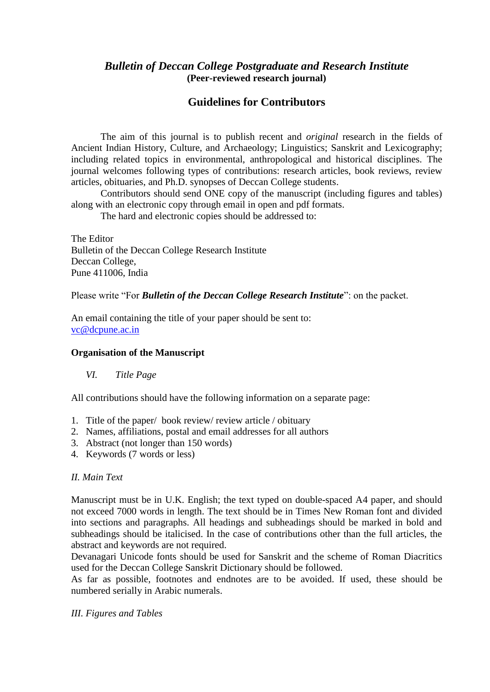## *Bulletin of Deccan College Postgraduate and Research Institute* **(Peer-reviewed research journal)**

# **Guidelines for Contributors**

The aim of this journal is to publish recent and *original* research in the fields of Ancient Indian History, Culture, and Archaeology; Linguistics; Sanskrit and Lexicography; including related topics in environmental, anthropological and historical disciplines. The journal welcomes following types of contributions: research articles, book reviews, review articles, obituaries, and Ph.D. synopses of Deccan College students.

Contributors should send ONE copy of the manuscript (including figures and tables) along with an electronic copy through email in open and pdf formats.

The hard and electronic copies should be addressed to:

The Editor Bulletin of the Deccan College Research Institute Deccan College, Pune 411006, India

Please write "For *Bulletin of the Deccan College Research Institute*": on the packet.

An email containing the title of your paper should be sent to: [vc@dcpune.ac.in](mailto:vc@dcpune.ac.in)

#### **Organisation of the Manuscript**

## *VI. Title Page*

All contributions should have the following information on a separate page:

- 1. Title of the paper/ book review/ review article / obituary
- 2. Names, affiliations, postal and email addresses for all authors
- 3. Abstract (not longer than 150 words)
- 4. Keywords (7 words or less)

#### *II. Main Text*

Manuscript must be in U.K. English; the text typed on double-spaced A4 paper, and should not exceed 7000 words in length. The text should be in Times New Roman font and divided into sections and paragraphs. All headings and subheadings should be marked in bold and subheadings should be italicised. In the case of contributions other than the full articles, the abstract and keywords are not required.

Devanagari Unicode fonts should be used for Sanskrit and the scheme of Roman Diacritics used for the Deccan College Sanskrit Dictionary should be followed.

As far as possible, footnotes and endnotes are to be avoided. If used, these should be numbered serially in Arabic numerals.

*III. Figures and Tables*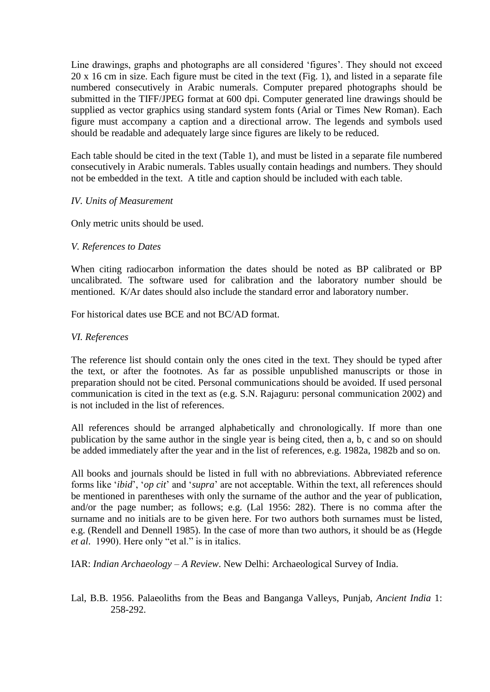Line drawings, graphs and photographs are all considered 'figures'. They should not exceed 20 x 16 cm in size. Each figure must be cited in the text (Fig. 1), and listed in a separate file numbered consecutively in Arabic numerals. Computer prepared photographs should be submitted in the TIFF/JPEG format at 600 dpi. Computer generated line drawings should be supplied as vector graphics using standard system fonts (Arial or Times New Roman). Each figure must accompany a caption and a directional arrow. The legends and symbols used should be readable and adequately large since figures are likely to be reduced.

Each table should be cited in the text (Table 1), and must be listed in a separate file numbered consecutively in Arabic numerals. Tables usually contain headings and numbers. They should not be embedded in the text. A title and caption should be included with each table.

## *IV. Units of Measurement*

Only metric units should be used.

## *V. References to Dates*

When citing radiocarbon information the dates should be noted as BP calibrated or BP uncalibrated. The software used for calibration and the laboratory number should be mentioned. K/Ar dates should also include the standard error and laboratory number.

For historical dates use BCE and not BC/AD format.

## *VI. References*

The reference list should contain only the ones cited in the text. They should be typed after the text, or after the footnotes. As far as possible unpublished manuscripts or those in preparation should not be cited. Personal communications should be avoided. If used personal communication is cited in the text as (e.g. S.N. Rajaguru: personal communication 2002) and is not included in the list of references.

All references should be arranged alphabetically and chronologically. If more than one publication by the same author in the single year is being cited, then a, b, c and so on should be added immediately after the year and in the list of references, e.g. 1982a, 1982b and so on.

All books and journals should be listed in full with no abbreviations. Abbreviated reference forms like '*ibid*', '*op cit*' and '*supra*' are not acceptable. Within the text, all references should be mentioned in parentheses with only the surname of the author and the year of publication, and/or the page number; as follows; e.g. (Lal 1956: 282). There is no comma after the surname and no initials are to be given here. For two authors both surnames must be listed, e.g. (Rendell and Dennell 1985). In the case of more than two authors, it should be as (Hegde *et al*. 1990). Here only "et al." is in italics.

IAR: *Indian Archaeology – A Review*. New Delhi: Archaeological Survey of India.

Lal, B.B. 1956. Palaeoliths from the Beas and Banganga Valleys, Punjab, *Ancient India* 1: 258-292.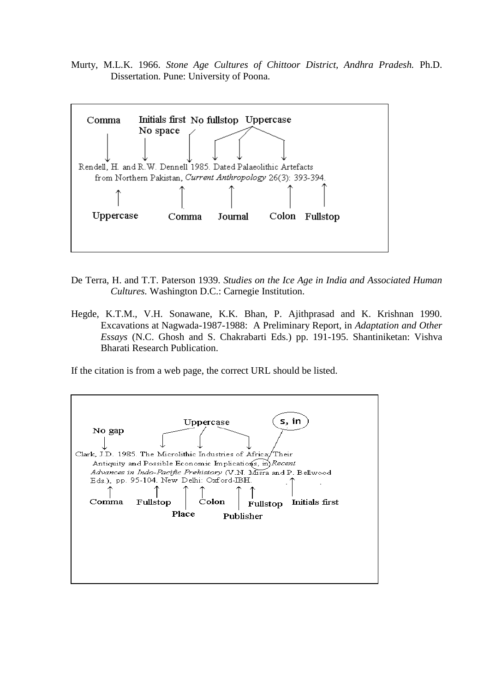Murty, M.L.K. 1966. *Stone Age Cultures of Chittoor District, Andhra Pradesh.* Ph.D. Dissertation. Pune: University of Poona.



- De Terra, H. and T.T. Paterson 1939. *Studies on the Ice Age in India and Associated Human Cultures.* Washington D.C.: Carnegie Institution.
- Hegde, K.T.M., V.H. Sonawane, K.K. Bhan, P. Ajithprasad and K. Krishnan 1990. Excavations at Nagwada-1987-1988: A Preliminary Report, in *Adaptation and Other Essays* (N.C. Ghosh and S. Chakrabarti Eds.) pp. 191-195. Shantiniketan: Vishva Bharati Research Publication.

If the citation is from a web page, the correct URL should be listed.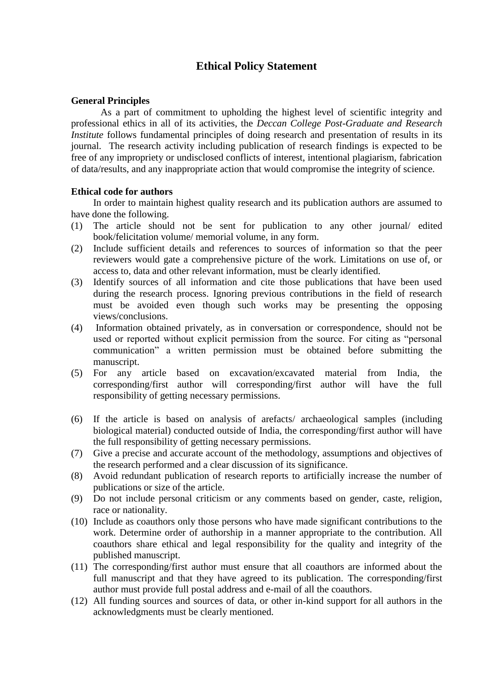## **Ethical Policy Statement**

#### **General Principles**

As a part of commitment to upholding the highest level of scientific integrity and professional ethics in all of its activities, the *Deccan College Post-Graduate and Research Institute* follows fundamental principles of doing research and presentation of results in its journal. The research activity including publication of research findings is expected to be free of any impropriety or undisclosed conflicts of interest, intentional plagiarism, fabrication of data/results, and any inappropriate action that would compromise the integrity of science.

#### **Ethical code for authors**

In order to maintain highest quality research and its publication authors are assumed to have done the following.

- (1) The article should not be sent for publication to any other journal/ edited book/felicitation volume/ memorial volume, in any form.
- (2) Include sufficient details and references to sources of information so that the peer reviewers would gate a comprehensive picture of the work. Limitations on use of, or access to, data and other relevant information, must be clearly identified.
- (3) Identify sources of all information and cite those publications that have been used during the research process. Ignoring previous contributions in the field of research must be avoided even though such works may be presenting the opposing views/conclusions.
- (4) Information obtained privately, as in conversation or correspondence, should not be used or reported without explicit permission from the source. For citing as "personal communication" a written permission must be obtained before submitting the manuscript.
- (5) For any article based on excavation/excavated material from India, the corresponding/first author will corresponding/first author will have the full responsibility of getting necessary permissions.
- (6) If the article is based on analysis of arefacts/ archaeological samples (including biological material) conducted outside of India, the corresponding/first author will have the full responsibility of getting necessary permissions.
- (7) Give a precise and accurate account of the methodology, assumptions and objectives of the research performed and a clear discussion of its significance.
- (8) Avoid redundant publication of research reports to artificially increase the number of publications or size of the article.
- (9) Do not include personal criticism or any comments based on gender, caste, religion, race or nationality.
- (10) Include as coauthors only those persons who have made significant contributions to the work. Determine order of authorship in a manner appropriate to the contribution. All coauthors share ethical and legal responsibility for the quality and integrity of the published manuscript.
- (11) The corresponding/first author must ensure that all coauthors are informed about the full manuscript and that they have agreed to its publication. The corresponding/first author must provide full postal address and e-mail of all the coauthors.
- (12) All funding sources and sources of data, or other in-kind support for all authors in the acknowledgments must be clearly mentioned.